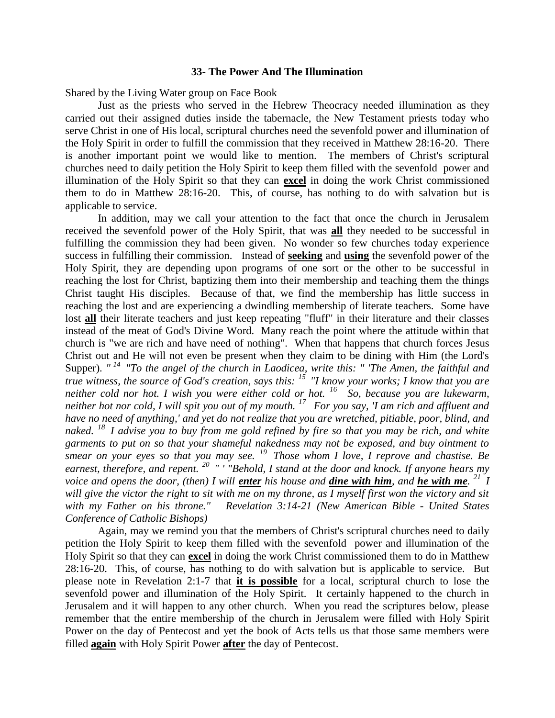#### **33- The Power And The Illumination**

Shared by the Living Water group on Face Book

Just as the priests who served in the Hebrew Theocracy needed illumination as they carried out their assigned duties inside the tabernacle, the New Testament priests today who serve Christ in one of His local, scriptural churches need the sevenfold power and illumination of the Holy Spirit in order to fulfill the commission that they received in Matthew 28:16-20. There is another important point we would like to mention. The members of Christ's scriptural churches need to daily petition the Holy Spirit to keep them filled with the sevenfold power and illumination of the Holy Spirit so that they can **excel** in doing the work Christ commissioned them to do in Matthew 28:16-20. This, of course, has nothing to do with salvation but is applicable to service.

In addition, may we call your attention to the fact that once the church in Jerusalem received the sevenfold power of the Holy Spirit, that was **all** they needed to be successful in fulfilling the commission they had been given. No wonder so few churches today experience success in fulfilling their commission. Instead of **seeking** and **using** the sevenfold power of the Holy Spirit, they are depending upon programs of one sort or the other to be successful in reaching the lost for Christ, baptizing them into their membership and teaching them the things Christ taught His disciples. Because of that, we find the membership has little success in reaching the lost and are experiencing a dwindling membership of literate teachers. Some have lost **all** their literate teachers and just keep repeating "fluff" in their literature and their classes instead of the meat of God's Divine Word. Many reach the point where the attitude within that church is "we are rich and have need of nothing". When that happens that church forces Jesus Christ out and He will not even be present when they claim to be dining with Him (the Lord's Supper). "<sup>14</sup> "To the angel of the church in Laodicea, write this: " The Amen, the faithful and *true witness, the source of God's creation, says this: <sup>15</sup>"I know your works; I know that you are neither cold nor hot. I wish you were either cold or hot. <sup>16</sup>So, because you are lukewarm, neither hot nor cold, I will spit you out of my mouth. <sup>17</sup>For you say, 'I am rich and affluent and have no need of anything,' and yet do not realize that you are wretched, pitiable, poor, blind, and naked. <sup>18</sup>I advise you to buy from me gold refined by fire so that you may be rich, and white garments to put on so that your shameful nakedness may not be exposed, and buy ointment to smear on your eyes so that you may see. <sup>19</sup>Those whom I love, I reprove and chastise. Be earnest, therefore, and repent. <sup>20</sup>" ' "Behold, I stand at the door and knock. If anyone hears my voice and opens the door, (then) I will enter his house and dine with him, and he with me. <sup>21</sup>I will give the victor the right to sit with me on my throne, as I myself first won the victory and sit with my Father on his throne." Revelation 3:14-21 (New American Bible - United States Conference of Catholic Bishops)* 

Again, may we remind you that the members of Christ's scriptural churches need to daily petition the Holy Spirit to keep them filled with the sevenfold power and illumination of the Holy Spirit so that they can **excel** in doing the work Christ commissioned them to do in Matthew 28:16-20. This, of course, has nothing to do with salvation but is applicable to service. But please note in Revelation 2:1-7 that **it is possible** for a local, scriptural church to lose the sevenfold power and illumination of the Holy Spirit. It certainly happened to the church in Jerusalem and it will happen to any other church. When you read the scriptures below, please remember that the entire membership of the church in Jerusalem were filled with Holy Spirit Power on the day of Pentecost and yet the book of Acts tells us that those same members were filled **again** with Holy Spirit Power **after** the day of Pentecost.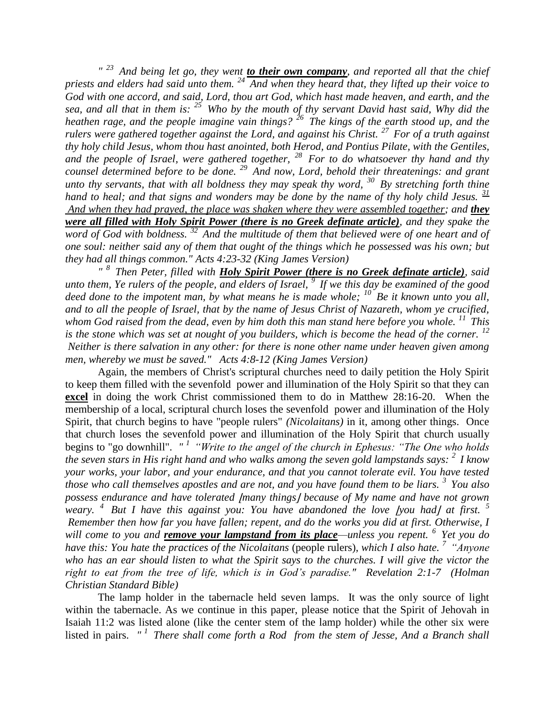*" <sup>23</sup>And being let go, they went to their own company, and reported all that the chief priests and elders had said unto them. <sup>24</sup>And when they heard that, they lifted up their voice to God with one accord, and said, Lord, thou art God, which hast made heaven, and earth, and the sea, and all that in them is: <sup>25</sup>Who by the mouth of thy servant David hast said, Why did the heathen rage, and the people imagine vain things? <sup>26</sup>The kings of the earth stood up, and the rulers were gathered together against the Lord, and against his Christ. <sup>27</sup>For of a truth against thy holy child Jesus, whom thou hast anointed, both Herod, and Pontius Pilate, with the Gentiles, and the people of Israel, were gathered together, <sup>28</sup>For to do whatsoever thy hand and thy counsel determined before to be done. <sup>29</sup>And now, Lord, behold their threatenings: and grant unto thy servants, that with all boldness they may speak thy word, <sup>30</sup>By stretching forth thine hand to heal; and that signs and wonders may be done by the name of thy holy child Jesus.*  $\frac{31}{2}$ *And when they had prayed, the place was shaken where they were assembled together; and they were all filled with Holy Spirit Power (there is no Greek definate article), and they spake the word of God with boldness. <sup>32</sup>And the multitude of them that believed were of one heart and of one soul: neither said any of them that ought of the things which he possessed was his own; but they had all things common." Acts 4:23-32 (King James Version)* 

*" <sup>8</sup>Then Peter, filled with Holy Spirit Power (there is no Greek definate article), said unto them, Ye rulers of the people, and elders of Israel, <sup>9</sup> If we this day be examined of the good* deed done to the impotent man, by what means he is made whole; <sup>10</sup> Be it known unto you all, *and to all the people of Israel, that by the name of Jesus Christ of Nazareth, whom ye crucified, whom God raised from the dead, even by him doth this man stand here before you whole. <sup>11</sup>This is the stone which was set at nought of you builders, which is become the head of the corner.* <sup>12</sup> *Neither is there salvation in any other: for there is none other name under heaven given among men, whereby we must be saved." Acts 4:8-12 (King James Version)* 

Again, the members of Christ's scriptural churches need to daily petition the Holy Spirit to keep them filled with the sevenfold power and illumination of the Holy Spirit so that they can **excel** in doing the work Christ commissioned them to do in Matthew 28:16-20. When the membership of a local, scriptural church loses the sevenfold power and illumination of the Holy Spirit, that church begins to have "people rulers" *(Nicolaitans)* in it, among other things. Once that church loses the sevenfold power and illumination of the Holy Spirit that church usually begins to "go downhill". *" <sup>1</sup>"Write to the angel of the church in Ephesus: "The One who holds the seven stars in His right hand and who walks among the seven gold lampstands says: <sup>2</sup>I know your works, your labor, and your endurance, and that you cannot tolerate evil. You have tested those who call themselves apostles and are not, and you have found them to be liars. <sup>3</sup>You also possess endurance and have tolerated [many things] because of My name and have not grown weary.* <sup>4</sup> But I have this against you: You have abandoned the love [you had] at first. <sup>5</sup> *Remember then how far you have fallen; repent, and do the works you did at first. Otherwise, I will come to you and remove your lampstand from its place—unless you repent. <sup>6</sup>Yet you do have this: You hate the practices of the Nicolaitans (people rulers), which I also hate.* <sup>7</sup> "Anyone" *who has an ear should listen to what the Spirit says to the churches. I will give the victor the right to eat from the tree of life, which is in God's paradise." Revelation 2:1-7 (Holman Christian Standard Bible)*

The lamp holder in the tabernacle held seven lamps. It was the only source of light within the tabernacle. As we continue in this paper, please notice that the Spirit of Jehovah in Isaiah 11:2 was listed alone (like the center stem of the lamp holder) while the other six were listed in pairs. "<sup>1</sup> There shall come forth a Rod from the stem of Jesse, And a Branch shall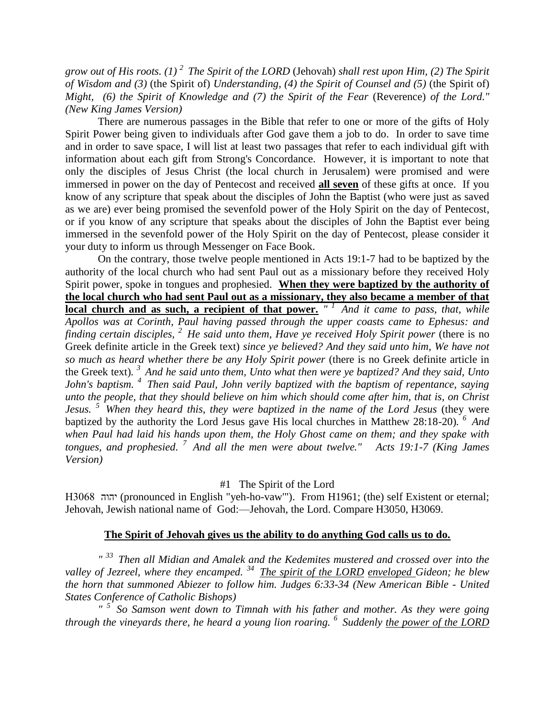*grow out of His roots. (1) <sup>2</sup>The Spirit of the LORD* (Jehovah) *shall rest upon Him, (2) The Spirit of Wisdom and (3)* (the Spirit of) *Understanding, (4) the Spirit of Counsel and (5)* (the Spirit of) *Might, (6) the Spirit of Knowledge and (7) the Spirit of the Fear (Reverence) of the Lord." (New King James Version)* 

There are numerous passages in the Bible that refer to one or more of the gifts of Holy Spirit Power being given to individuals after God gave them a job to do. In order to save time and in order to save space, I will list at least two passages that refer to each individual gift with information about each gift from Strong's Concordance. However, it is important to note that only the disciples of Jesus Christ (the local church in Jerusalem) were promised and were immersed in power on the day of Pentecost and received **all seven** of these gifts at once. If you know of any scripture that speak about the disciples of John the Baptist (who were just as saved as we are) ever being promised the sevenfold power of the Holy Spirit on the day of Pentecost, or if you know of any scripture that speaks about the disciples of John the Baptist ever being immersed in the sevenfold power of the Holy Spirit on the day of Pentecost, please consider it your duty to inform us through Messenger on Face Book.

On the contrary, those twelve people mentioned in Acts 19:1-7 had to be baptized by the authority of the local church who had sent Paul out as a missionary before they received Holy Spirit power, spoke in tongues and prophesied. **When they were baptized by the authority of the local church who had sent Paul out as a missionary, they also became a member of that local church and as such, a recipient of that power.** "<sup>1</sup> And it came to pass, that, while *Apollos was at Corinth, Paul having passed through the upper coasts came to Ephesus: and finding certain disciples, <sup>2</sup>He said unto them, Have ye received Holy Spirit power* (there is no Greek definite article in the Greek text) *since ye believed? And they said unto him, We have not so much as heard whether there be any Holy Spirit power* (there is no Greek definite article in the Greek text)*. <sup>3</sup>And he said unto them, Unto what then were ye baptized? And they said, Unto John's baptism. <sup>4</sup>Then said Paul, John verily baptized with the baptism of repentance, saying unto the people, that they should believe on him which should come after him, that is, on Christ Jesus. <sup>5</sup>When they heard this, they were baptized in the name of the Lord Jesus* (they were baptized by the authority the Lord Jesus gave His local churches in Matthew 28:18-20). <sup>6</sup> And *when Paul had laid his hands upon them, the Holy Ghost came on them; and they spake with tongues, and prophesied. <sup>7</sup>And all the men were about twelve." Acts 19:1-7 (King James Version)* 

### #1 The Spirit of the Lord

 יהוה) pronounced in English "yeh-ho-vaw'"). From H1961; (the) self Existent or eternal; Jehovah, Jewish national name of God:—Jehovah, the Lord. Compare H3050, H3069.

### **The Spirit of Jehovah gives us the ability to do anything God calls us to do.**

*" <sup>33</sup>Then all Midian and Amalek and the Kedemites mustered and crossed over into the valley of Jezreel, where they encamped. <sup>34</sup>The spirit of the LORD enveloped Gideon; he blew the horn that summoned Abiezer to follow him. Judges 6:33-34 (New American Bible - United States Conference of Catholic Bishops)* 

*" <sup>5</sup>So Samson went down to Timnah with his father and mother. As they were going through the vineyards there, he heard a young lion roaring. <sup>6</sup>Suddenly the power of the LORD*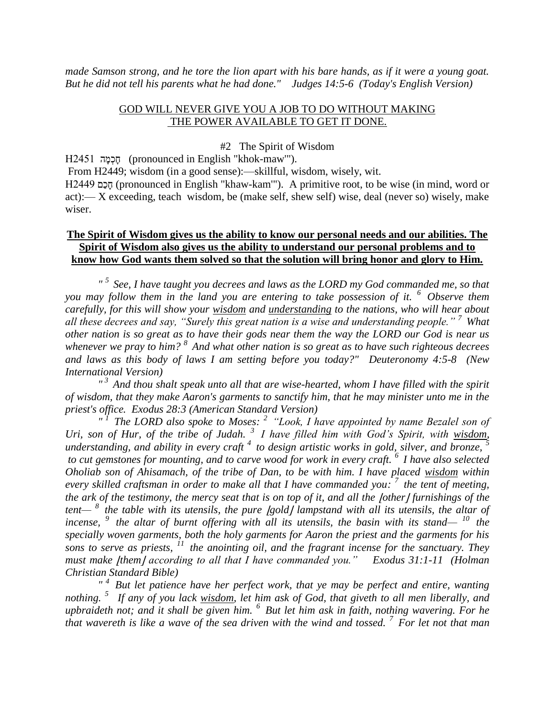*made Samson strong, and he tore the lion apart with his bare hands, as if it were a young goat. But he did not tell his parents what he had done." Judges 14:5-6 (Today's English Version)*

#### GOD WILL NEVER GIVE YOU A JOB TO DO WITHOUT MAKING THE POWER AVAILABLE TO GET IT DONE.

#### #2 The Spirit of Wisdom

ה) pronounced in English "khok-maw'").

From H2449; wisdom (in a good sense):—skillful, wisdom, wisely, wit.

 (pronounced in English "khaw-kam'"). A primitive root, to be wise (in mind, word or act):— X exceeding, teach wisdom, be (make self, shew self) wise, deal (never so) wisely, make wiser.

# **The Spirit of Wisdom gives us the ability to know our personal needs and our abilities. The Spirit of Wisdom also gives us the ability to understand our personal problems and to know how God wants them solved so that the solution will bring honor and glory to Him.**

*" <sup>5</sup>See, I have taught you decrees and laws as the LORD my God commanded me, so that you may follow them in the land you are entering to take possession of it. <sup>6</sup>Observe them carefully, for this will show your wisdom and understanding to the nations, who will hear about all these decrees and say, "Surely this great nation is a wise and understanding people." <sup>7</sup>What other nation is so great as to have their gods near them the way the LORD our God is near us whenever we pray to him? <sup>8</sup>And what other nation is so great as to have such righteous decrees and laws as this body of laws I am setting before you today?" Deuteronomy 4:5-8 (New International Version)* 

*" <sup>3</sup>And thou shalt speak unto all that are wise-hearted, whom I have filled with the spirit of wisdom, that they make Aaron's garments to sanctify him, that he may minister unto me in the priest's office. Exodus 28:3 (American Standard Version)*

*" <sup>1</sup>The LORD also spoke to Moses: <sup>2</sup>"Look, I have appointed by name Bezalel son of Uri, son of Hur, of the tribe of Judah. <sup>3</sup>I have filled him with God's Spirit, with wisdom, understanding, and ability in every craft <sup>4</sup>to design artistic works in gold, silver, and bronze, <sup>5</sup> to cut gemstones for mounting, and to carve wood for work in every craft. <sup>6</sup>I have also selected Oholiab son of Ahisamach, of the tribe of Dan, to be with him. I have placed wisdom within every skilled craftsman in order to make all that I have commanded you: <sup>7</sup>the tent of meeting, the ark of the testimony, the mercy seat that is on top of it, and all the lother l furnishings of the tent*— <sup>8</sup> the table with its utensils, the pure [gold] lampstand with all its utensils, the altar of *incense, <sup>9</sup>the altar of burnt offering with all its utensils, the basin with its stand— <sup>10</sup>the specially woven garments, both the holy garments for Aaron the priest and the garments for his sons to serve as priests, <sup>11</sup>the anointing oil, and the fragrant incense for the sanctuary. They must make |them according to all that I have commanded you.*" *Exodus 31:1-11 (Holman Christian Standard Bible)*

*" <sup>4</sup>But let patience have her perfect work, that ye may be perfect and entire, wanting nothing. <sup>5</sup>If any of you lack wisdom, let him ask of God, that giveth to all men liberally, and upbraideth not; and it shall be given him. <sup>6</sup>But let him ask in faith, nothing wavering. For he that wavereth is like a wave of the sea driven with the wind and tossed. <sup>7</sup>For let not that man*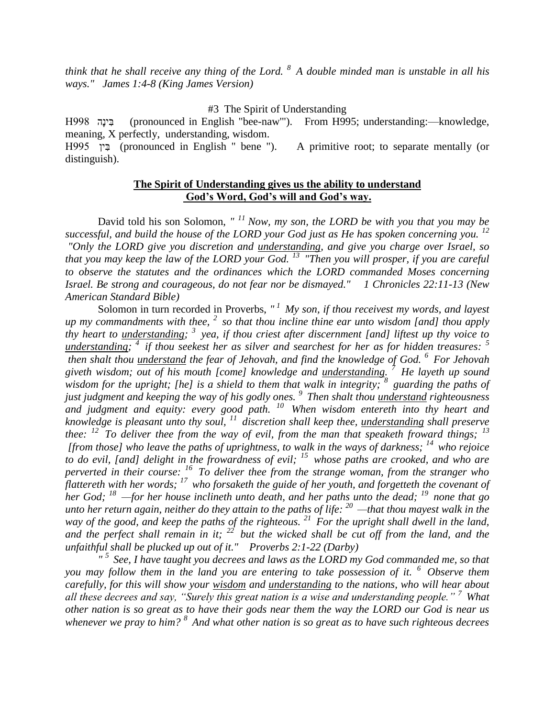*think that he shall receive any thing of the Lord. <sup>8</sup>A double minded man is unstable in all his ways." James 1:4-8 (King James Version)* 

#3 The Spirit of Understanding

 ה י) pronounced in English "bee-naw'"). From H995; understanding:—knowledge, meaning, X perfectly, understanding, wisdom.

 י) pronounced in English " bene "). A primitive root; to separate mentally (or distinguish).

# **The Spirit of Understanding gives us the ability to understand God's Word, God's will and God's way.**

David told his son Solomon, *" <sup>11</sup>Now, my son, the LORD be with you that you may be successful, and build the house of the LORD your God just as He has spoken concerning you. <sup>12</sup> "Only the LORD give you discretion and understanding, and give you charge over Israel, so that you may keep the law of the LORD your God. <sup>13</sup>"Then you will prosper, if you are careful to observe the statutes and the ordinances which the LORD commanded Moses concerning Israel. Be strong and courageous, do not fear nor be dismayed." 1 Chronicles 22:11-13 (New American Standard Bible)*

Solomon in turn recorded in Proverbs, *" <sup>1</sup>My son, if thou receivest my words, and layest up my commandments with thee, <sup>2</sup>so that thou incline thine ear unto wisdom [and] thou apply thy heart to understanding; <sup>3</sup>yea, if thou criest after discernment [and] liftest up thy voice to understanding; <sup>4</sup>if thou seekest her as silver and searchest for her as for hidden treasures: <sup>5</sup> then shalt thou understand the fear of Jehovah, and find the knowledge of God. <sup>6</sup>For Jehovah giveth wisdom; out of his mouth [come] knowledge and understanding. <sup>7</sup>He layeth up sound wisdom for the upright; [he] is a shield to them that walk in integrity; <sup>8</sup>guarding the paths of just judgment and keeping the way of his godly ones. <sup>9</sup>Then shalt thou understand righteousness and judgment and equity: every good path. <sup>10</sup>When wisdom entereth into thy heart and knowledge is pleasant unto thy soul, <sup>11</sup>discretion shall keep thee, understanding shall preserve thee:* <sup>*12*</sup> To deliver thee from the way of evil, from the man that speaketh froward things; <sup>13</sup> *[from those] who leave the paths of uprightness, to walk in the ways of darkness; <sup>14</sup>who rejoice to do evil, [and] delight in the frowardness of evil; <sup>15</sup>whose paths are crooked, and who are perverted in their course: <sup>16</sup>To deliver thee from the strange woman, from the stranger who flattereth with her words; <sup>17</sup>who forsaketh the guide of her youth, and forgetteth the covenant of her God; <sup>18</sup>—for her house inclineth unto death, and her paths unto the dead; <sup>19</sup>none that go unto her return again, neither do they attain to the paths of life: <sup>20</sup>—that thou mayest walk in the way of the good, and keep the paths of the righteous. <sup>21</sup>For the upright shall dwell in the land, and the perfect shall remain in it; <sup>22</sup>but the wicked shall be cut off from the land, and the unfaithful shall be plucked up out of it." Proverbs 2:1-22 (Darby)* 

*" <sup>5</sup>See, I have taught you decrees and laws as the LORD my God commanded me, so that you may follow them in the land you are entering to take possession of it. <sup>6</sup>Observe them carefully, for this will show your wisdom and understanding to the nations, who will hear about all these decrees and say, "Surely this great nation is a wise and understanding people." <sup>7</sup>What other nation is so great as to have their gods near them the way the LORD our God is near us whenever we pray to him? <sup>8</sup>And what other nation is so great as to have such righteous decrees*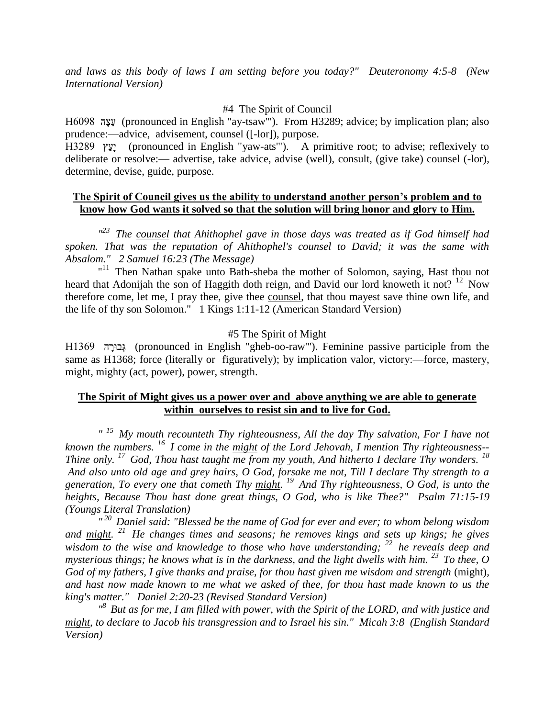*and laws as this body of laws I am setting before you today?" Deuteronomy 4:5-8 (New International Version)* 

# #4 The Spirit of Council

 ה) pronounced in English "ay-tsaw'"). From H3289; advice; by implication plan; also prudence:—advice, advisement, counsel ([-lor]), purpose.

 י) pronounced in English "yaw-ats'"). A primitive root; to advise; reflexively to deliberate or resolve:— advertise, take advice, advise (well), consult, (give take) counsel (-lor), determine, devise, guide, purpose.

# **The Spirit of Council gives us the ability to understand another person's problem and to know how God wants it solved so that the solution will bring honor and glory to Him.**

*" <sup>23</sup>The counsel that Ahithophel gave in those days was treated as if God himself had spoken. That was the reputation of Ahithophel's counsel to David; it was the same with Absalom." 2 Samuel 16:23 (The Message)*

 $11$ <sup>11</sup> Then Nathan spake unto Bath-sheba the mother of Solomon, saying, Hast thou not heard that Adonijah the son of Haggith doth reign, and David our lord knoweth it not? <sup>12</sup> Now therefore come, let me, I pray thee, give thee counsel, that thou mayest save thine own life, and the life of thy son Solomon." 1 Kings 1:11-12 (American Standard Version)

### #5 The Spirit of Might

 ה) pronounced in English "gheb-oo-raw'"). Feminine passive participle from the same as H1368; force (literally or figuratively); by implication valor, victory:—force, mastery, might, mighty (act, power), power, strength.

# **The Spirit of Might gives us a power over and above anything we are able to generate within ourselves to resist sin and to live for God.**

*" <sup>15</sup>My mouth recounteth Thy righteousness, All the day Thy salvation, For I have not known the numbers. <sup>16</sup>I come in the might of the Lord Jehovah, I mention Thy righteousness-- Thine only. <sup>17</sup>God, Thou hast taught me from my youth, And hitherto I declare Thy wonders. <sup>18</sup> And also unto old age and grey hairs, O God, forsake me not, Till I declare Thy strength to a generation, To every one that cometh Thy might. <sup>19</sup>And Thy righteousness, O God, is unto the heights, Because Thou hast done great things, O God, who is like Thee?" Psalm 71:15-19 (Youngs Literal Translation)*

*" <sup>20</sup>Daniel said: "Blessed be the name of God for ever and ever; to whom belong wisdom and might. <sup>21</sup>He changes times and seasons; he removes kings and sets up kings; he gives*  wisdom to the wise and knowledge to those who have understanding; <sup>22</sup> he reveals deep and *mysterious things; he knows what is in the darkness, and the light dwells with him. <sup>23</sup>To thee, O God of my fathers, I give thanks and praise, for thou hast given me wisdom and strength (might), and hast now made known to me what we asked of thee, for thou hast made known to us the king's matter." Daniel 2:20-23 (Revised Standard Version)*

*" <sup>8</sup>But as for me, I am filled with power, with the Spirit of the LORD, and with justice and might, to declare to Jacob his transgression and to Israel his sin." Micah 3:8 (English Standard Version)*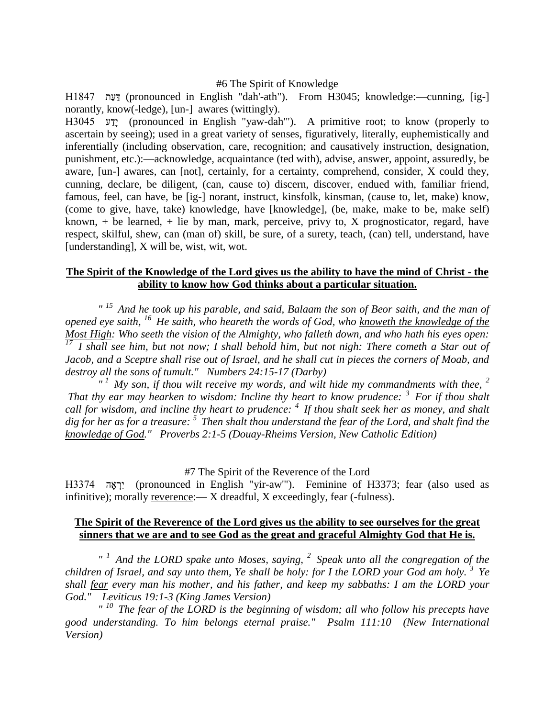#### #6 The Spirit of Knowledge

 (pronounced in English "dah'-ath"). From H3045; knowledge:—cunning, [ig-] norantly, know(-ledge), [un-] awares (wittingly).

 י) pronounced in English "yaw-dah'"). A primitive root; to know (properly to ascertain by seeing); used in a great variety of senses, figuratively, literally, euphemistically and inferentially (including observation, care, recognition; and causatively instruction, designation, punishment, etc.):—acknowledge, acquaintance (ted with), advise, answer, appoint, assuredly, be aware, [un-] awares, can [not], certainly, for a certainty, comprehend, consider, X could they, cunning, declare, be diligent, (can, cause to) discern, discover, endued with, familiar friend, famous, feel, can have, be [ig-] norant, instruct, kinsfolk, kinsman, (cause to, let, make) know, (come to give, have, take) knowledge, have [knowledge], (be, make, make to be, make self) known,  $+$  be learned,  $+$  lie by man, mark, perceive, privy to, X prognosticator, regard, have respect, skilful, shew, can (man of) skill, be sure, of a surety, teach, (can) tell, understand, have [understanding], X will be, wist, wit, wot.

# **The Spirit of the Knowledge of the Lord gives us the ability to have the mind of Christ - the ability to know how God thinks about a particular situation.**

*" <sup>15</sup>And he took up his parable, and said, Balaam the son of Beor saith, and the man of opened eye saith, <sup>16</sup>He saith, who heareth the words of God, who knoweth the knowledge of the Most High: Who seeth the vision of the Almighty, who falleth down, and who hath his eyes open: <sup>17</sup>I shall see him, but not now; I shall behold him, but not nigh: There cometh a Star out of Jacob, and a Sceptre shall rise out of Israel, and he shall cut in pieces the corners of Moab, and destroy all the sons of tumult." Numbers 24:15-17 (Darby)*

 $T<sup>1</sup>$  My son, if thou wilt receive my words, and wilt hide my commandments with thee, <sup>2</sup> *That thy ear may hearken to wisdom: Incline thy heart to know prudence: <sup>3</sup>For if thou shalt call for wisdom, and incline thy heart to prudence: <sup>4</sup>If thou shalt seek her as money, and shalt dig for her as for a treasure: <sup>5</sup>Then shalt thou understand the fear of the Lord, and shalt find the knowledge of God." Proverbs 2:1-5 (Douay-Rheims Version, New Catholic Edition)*

#### #7 The Spirit of the Reverence of the Lord

 ה י) pronounced in English "yir-aw'"). Feminine of H3373; fear (also used as infinitive); morally reverence:— X dreadful, X exceedingly, fear (-fulness).

#### **The Spirit of the Reverence of the Lord gives us the ability to see ourselves for the great sinners that we are and to see God as the great and graceful Almighty God that He is.**

*" <sup>1</sup>And the LORD spake unto Moses, saying, <sup>2</sup>Speak unto all the congregation of the children of Israel, and say unto them, Ye shall be holy: for I the LORD your God am holy. <sup>3</sup>Ye shall fear every man his mother, and his father, and keep my sabbaths: I am the LORD your God." Leviticus 19:1-3 (King James Version)* 

*" <sup>10</sup>The fear of the LORD is the beginning of wisdom; all who follow his precepts have good understanding. To him belongs eternal praise." Psalm 111:10 (New International Version)*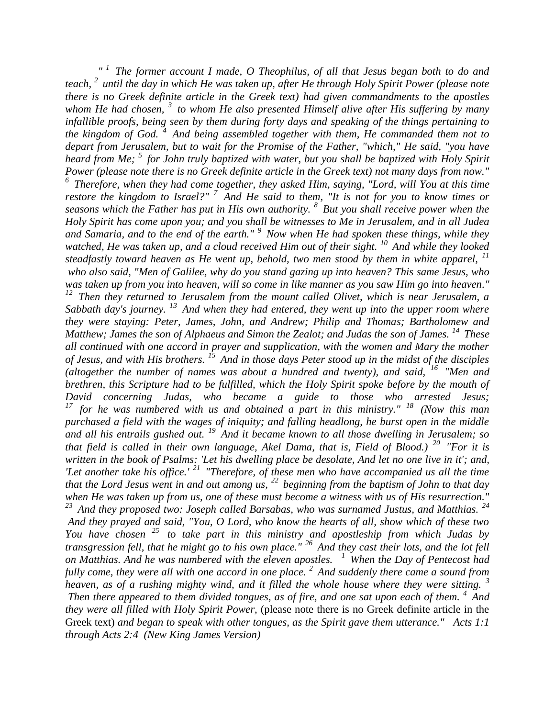*" <sup>1</sup>The former account I made, O Theophilus, of all that Jesus began both to do and teach, <sup>2</sup>until the day in which He was taken up, after He through Holy Spirit Power (please note there is no Greek definite article in the Greek text) had given commandments to the apostles whom He had chosen, <sup>3</sup>to whom He also presented Himself alive after His suffering by many infallible proofs, being seen by them during forty days and speaking of the things pertaining to the kingdom of God. <sup>4</sup>And being assembled together with them, He commanded them not to depart from Jerusalem, but to wait for the Promise of the Father, "which," He said, "you have heard from Me; <sup>5</sup>for John truly baptized with water, but you shall be baptized with Holy Spirit Power (please note there is no Greek definite article in the Greek text) not many days from now." <sup>6</sup>Therefore, when they had come together, they asked Him, saying, "Lord, will You at this time restore the kingdom to Israel?" <sup>7</sup>And He said to them, "It is not for you to know times or seasons which the Father has put in His own authority. <sup>8</sup>But you shall receive power when the Holy Spirit has come upon you; and you shall be witnesses to Me in Jerusalem, and in all Judea and Samaria, and to the end of the earth." <sup>9</sup>Now when He had spoken these things, while they watched, He was taken up, and a cloud received Him out of their sight. <sup>10</sup>And while they looked steadfastly toward heaven as He went up, behold, two men stood by them in white apparel, <sup>11</sup> who also said, "Men of Galilee, why do you stand gazing up into heaven? This same Jesus, who was taken up from you into heaven, will so come in like manner as you saw Him go into heaven." <sup>12</sup>Then they returned to Jerusalem from the mount called Olivet, which is near Jerusalem, a Sabbath day's journey. <sup>13</sup>And when they had entered, they went up into the upper room where they were staying: Peter, James, John, and Andrew; Philip and Thomas; Bartholomew and Matthew; James the son of Alphaeus and Simon the Zealot; and Judas the son of James. <sup>14</sup>These all continued with one accord in prayer and supplication, with the women and Mary the mother of Jesus, and with His brothers. <sup>15</sup>And in those days Peter stood up in the midst of the disciples (altogether the number of names was about a hundred and twenty), and said, <sup>16</sup>"Men and brethren, this Scripture had to be fulfilled, which the Holy Spirit spoke before by the mouth of David concerning Judas, who became a guide to those who arrested Jesus; <sup>17</sup>for he was numbered with us and obtained a part in this ministry." <sup>18</sup>(Now this man purchased a field with the wages of iniquity; and falling headlong, he burst open in the middle and all his entrails gushed out. <sup>19</sup>And it became known to all those dwelling in Jerusalem; so that field is called in their own language, Akel Dama, that is, Field of Blood.) <sup>20</sup>"For it is written in the book of Psalms: 'Let his dwelling place be desolate, And let no one live in it'; and, 'Let another take his office.' <sup>21</sup>"Therefore, of these men who have accompanied us all the time that the Lord Jesus went in and out among us, <sup>22</sup>beginning from the baptism of John to that day when He was taken up from us, one of these must become a witness with us of His resurrection." <sup>23</sup>And they proposed two: Joseph called Barsabas, who was surnamed Justus, and Matthias. <sup>24</sup> And they prayed and said, "You, O Lord, who know the hearts of all, show which of these two You have chosen <sup>25</sup> to take part in this ministry and apostleship from which Judas by* 

*transgression fell, that he might go to his own place." <sup>26</sup>And they cast their lots, and the lot fell on Matthias. And he was numbered with the eleven apostles. <sup>1</sup>When the Day of Pentecost had fully come, they were all with one accord in one place. <sup>2</sup>And suddenly there came a sound from heaven, as of a rushing mighty wind, and it filled the whole house where they were sitting. <sup>3</sup> Then there appeared to them divided tongues, as of fire, and one sat upon each of them. <sup>4</sup>And they were all filled with Holy Spirit Power,* (please note there is no Greek definite article in the Greek text) *and began to speak with other tongues, as the Spirit gave them utterance." Acts 1:1 through Acts 2:4 (New King James Version)*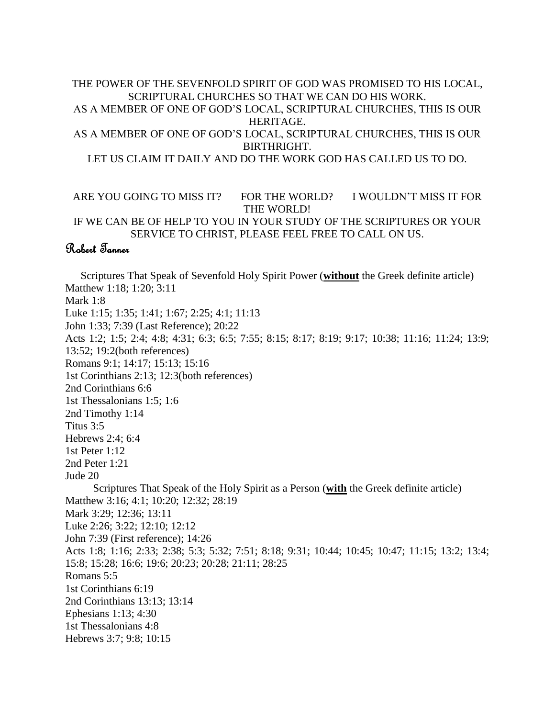# THE POWER OF THE SEVENFOLD SPIRIT OF GOD WAS PROMISED TO HIS LOCAL, SCRIPTURAL CHURCHES SO THAT WE CAN DO HIS WORK. AS A MEMBER OF ONE OF GOD'S LOCAL, SCRIPTURAL CHURCHES, THIS IS OUR

HERITAGE. AS A MEMBER OF ONE OF GOD'S LOCAL, SCRIPTURAL CHURCHES, THIS IS OUR

BIRTHRIGHT.

LET US CLAIM IT DAILY AND DO THE WORK GOD HAS CALLED US TO DO.

# ARE YOU GOING TO MISS IT? FOR THE WORLD? I WOULDN'T MISS IT FOR THE WORLD!

IF WE CAN BE OF HELP TO YOU IN YOUR STUDY OF THE SCRIPTURES OR YOUR SERVICE TO CHRIST, PLEASE FEEL FREE TO CALL ON US.

# Robert Tanner

Scriptures That Speak of Sevenfold Holy Spirit Power (**without** the Greek definite article) Matthew 1:18; 1:20; 3:11 Mark 1:8 Luke 1:15; 1:35; 1:41; 1:67; 2:25; 4:1; 11:13 John 1:33; 7:39 (Last Reference); 20:22 Acts 1:2; 1:5; 2:4; 4:8; 4:31; 6:3; 6:5; 7:55; 8:15; 8:17; 8:19; 9:17; 10:38; 11:16; 11:24; 13:9; 13:52; 19:2(both references) Romans 9:1; 14:17; 15:13; 15:16 1st Corinthians 2:13; 12:3(both references) 2nd Corinthians 6:6 1st Thessalonians 1:5; 1:6 2nd Timothy 1:14 Titus 3:5 Hebrews 2:4; 6:4 1st Peter 1:12 2nd Peter 1:21 Jude 20 Scriptures That Speak of the Holy Spirit as a Person (**with** the Greek definite article) Matthew 3:16; 4:1; 10:20; 12:32; 28:19 Mark 3:29; 12:36; 13:11 Luke 2:26; 3:22; 12:10; 12:12 John 7:39 (First reference); 14:26 Acts 1:8; 1:16; 2:33; 2:38; 5:3; 5:32; 7:51; 8:18; 9:31; 10:44; 10:45; 10:47; 11:15; 13:2; 13:4; 15:8; 15:28; 16:6; 19:6; 20:23; 20:28; 21:11; 28:25 Romans 5:5 1st Corinthians 6:19 2nd Corinthians 13:13; 13:14 Ephesians 1:13; 4:30 1st Thessalonians 4:8 Hebrews 3:7; 9:8; 10:15